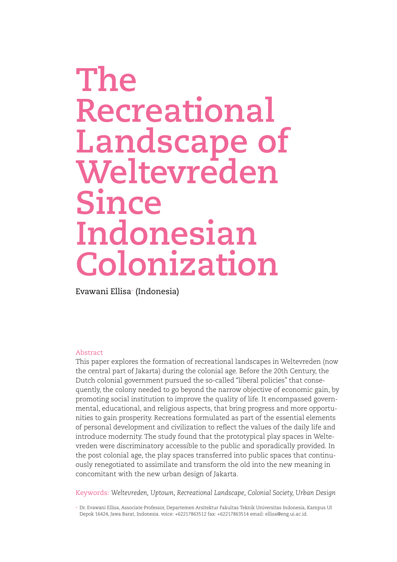# **The Recreational Landscape of Weltevreden Since Indonesian Colonization**

Evawani Ellisa+ (Indonesia)

## Abstract

This paper explores the formation of recreational landscapes in Weltevreden (now the central part of Jakarta) during the colonial age. Before the 20th Century, the Dutch colonial government pursued the so-called "liberal policies" that consequently, the colony needed to go beyond the narrow objective of economic gain, by promoting social institution to improve the quality of life. It encompassed governmental, educational, and religious aspects, that bring progress and more opportunities to gain prosperity. Recreations formulated as part of the essential elements of personal development and civilization to reflect the values of the daily life and introduce modernity. The study found that the prototypical play spaces in Weltevreden were discriminatory accessible to the public and sporadically provided. In the post colonial age, the play spaces transferred into public spaces that continuously renegotiated to assimilate and transform the old into the new meaning in concomitant with the new urban design of Jakarta.

Keywords: *Weltevreden, Uptown, Recreational Landscape, Colonial Society, Urban Design*

<sup>+</sup> Dr. Evawani Ellisa, Associate Professor, Departemen Arsitektur Fakultas Teknik Universitas Indonesia, Kampus UI Depok 16424, Jawa Barat, Indonesia. voice: +62217863512 fax: +62217863514 email: ellisa@eng.ui.ac.id.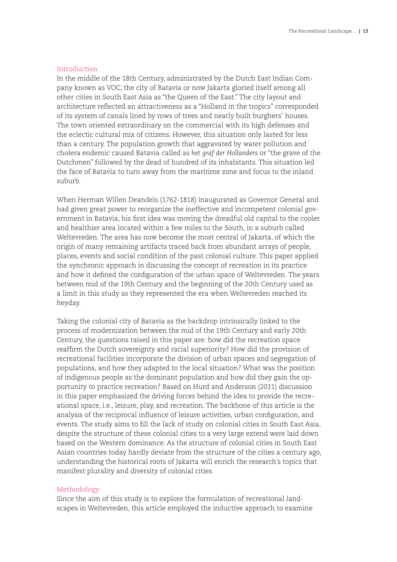# Introduction

In the middle of the 18th Century, administrated by the Dutch East Indian Company known as VOC, the city of Batavia or now Jakarta gloried itself among all other cities in South East Asia as "the Queen of the East." The city layout and architecture reflected an attractiveness as a "Holland in the tropics" corresponded of its system of canals lined by rows of trees and neatly built burghers' houses. The town oriented extraordinary on the commercial with its high defenses and the eclectic cultural mix of citizens. However, this situation only lasted for less than a century. The population growth that aggravated by water pollution and cholera endemic caused Batavia called as *het graf der Hollanders* or "the grave of the Dutchmen" followed by the dead of hundred of its inhabitants. This situation led the face of Batavia to turn away from the maritime zone and focus to the inland suburb.

When Herman Willen Deandels (1762-1818) inaugurated as Governor General and had given great power to reorganize the ineffective and incompetent colonial government in Batavia, his first idea was moving the dreadful old capital to the cooler and healthier area located within a few miles to the South, in a suburb called Weltevreden. The area has now become the most central of Jakarta, of which the origin of many remaining artifacts traced back from abundant arrays of people, places, events and social condition of the past colonial culture. This paper applied the synchronic approach in discussing the concept of recreation in its practice and how it defined the configuration of the urban space of Weltevreden. The years between mid of the 19th Century and the beginning of the 20th Century used as a limit in this study as they represented the era when Weltevreden reached its heyday.

Taking the colonial city of Batavia as the backdrop intrinsically linked to the process of modernization between the mid of the 19th Century and early 20th Century, the questions raised in this paper are: how did the recreation space reaffirm the Dutch sovereignty and racial superiority? How did the provision of recreational facilities incorporate the division of urban spaces and segregation of populations, and how they adapted to the local situation? What was the position of indigenous people as the dominant population and how did they gain the opportunity to practice recreation? Based on Hurd and Anderson (2011) discussion in this paper emphasized the driving forces behind the idea to provide the recreational space, i.e., leisure, play, and recreation. The backbone of this article is the analysis of the reciprocal influence of leisure activities, urban configuration, and events. The study aims to fill the lack of study on colonial cities in South East Asia, despite the structure of these colonial cities to a very large extend were laid down based on the Western dominance. As the structure of colonial cities in South East Asian countries today hardly deviate from the structure of the cities a century ago, understanding the historical roots of Jakarta will enrich the research's topics that manifest plurality and diversity of colonial cities.

## Methodology

Since the aim of this study is to explore the formulation of recreational landscapes in Weltevreden, this article employed the inductive approach to examine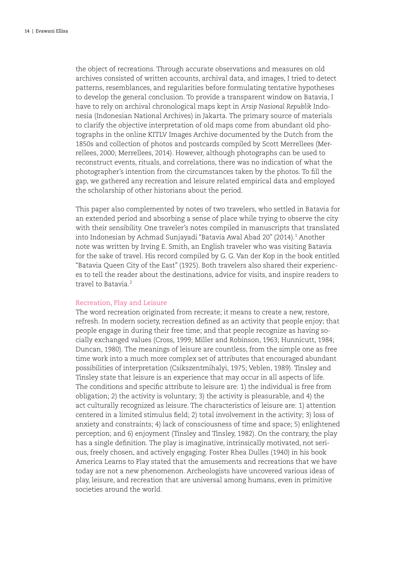the object of recreations. Through accurate observations and measures on old archives consisted of written accounts, archival data, and images, I tried to detect patterns, resemblances, and regularities before formulating tentative hypotheses to develop the general conclusion. To provide a transparent window on Batavia, I have to rely on archival chronological maps kept in *Arsip Nasional Republik* Indonesia (Indonesian National Archives) in Jakarta. The primary source of materials to clarify the objective interpretation of old maps come from abundant old photographs in the online KITLV Images Archive documented by the Dutch from the 1850s and collection of photos and postcards compiled by Scott Merrellees (Merrellees, 2000; Merrellees, 2014). However, although photographs can be used to reconstruct events, rituals, and correlations, there was no indication of what the photographer's intention from the circumstances taken by the photos. To fill the gap, we gathered any recreation and leisure related empirical data and employed the scholarship of other historians about the period.

This paper also complemented by notes of two travelers, who settled in Batavia for an extended period and absorbing a sense of place while trying to observe the city with their sensibility. One traveler's notes compiled in manuscripts that translated into Indonesian by Achmad Sunjayadi "Batavia Awal Abad 20" (2014).1 Another note was written by Irving E. Smith, an English traveler who was visiting Batavia for the sake of travel. His record compiled by G. G. Van der Kop in the book entitled "Batavia Queen City of the East" (1925). Both travelers also shared their experiences to tell the reader about the destinations, advice for visits, and inspire readers to travel to Batavia<sup>2</sup>

# Recreation, Play and Leisure

The word recreation originated from recreate; it means to create a new, restore, refresh. In modern society, recreation defined as an activity that people enjoy; that people engage in during their free time; and that people recognize as having socially exchanged values (Cross, 1999; Miller and Robinson, 1963; Hunnicutt, 1984; Duncan, 1980). The meanings of leisure are countless, from the simple one as free time work into a much more complex set of attributes that encouraged abundant possibilities of interpretation (Csikszentmihalyi, 1975; Veblen, 1989). Tinsley and Tinsley state that leisure is an experience that may occur in all aspects of life. The conditions and specific attribute to leisure are: 1) the individual is free from obligation; 2) the activity is voluntary; 3) the activity is pleasurable, and 4) the act culturally recognized as leisure. The characteristics of leisure are: 1) attention centered in a limited stimulus field; 2) total involvement in the activity; 3) loss of anxiety and constraints; 4) lack of consciousness of time and space; 5) enlightened perception; and 6) enjoyment (Tinsley and Tinsley, 1982). On the contrary, the play has a single definition. The play is imaginative, intrinsically motivated, not serious, freely chosen, and actively engaging. Foster Rhea Dulles (1940) in his book America Learns to Play stated that the amusements and recreations that we have today are not a new phenomenon. Archeologists have uncovered various ideas of play, leisure, and recreation that are universal among humans, even in primitive societies around the world.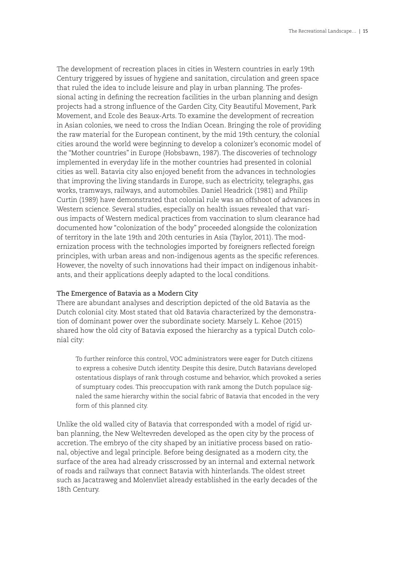The development of recreation places in cities in Western countries in early 19th Century triggered by issues of hygiene and sanitation, circulation and green space that ruled the idea to include leisure and play in urban planning. The professional acting in defining the recreation facilities in the urban planning and design projects had a strong influence of the Garden City, City Beautiful Movement, Park Movement, and Ecole des Beaux-Arts. To examine the development of recreation in Asian colonies, we need to cross the Indian Ocean. Bringing the role of providing the raw material for the European continent, by the mid 19th century, the colonial cities around the world were beginning to develop a colonizer's economic model of the "Mother countries" in Europe (Hobsbawn, 1987). The discoveries of technology implemented in everyday life in the mother countries had presented in colonial cities as well. Batavia city also enjoyed benefit from the advances in technologies that improving the living standards in Europe, such as electricity, telegraphs, gas works, tramways, railways, and automobiles. Daniel Headrick (1981) and Philip Curtin (1989) have demonstrated that colonial rule was an offshoot of advances in Western science. Several studies, especially on health issues revealed that various impacts of Western medical practices from vaccination to slum clearance had documented how "colonization of the body" proceeded alongside the colonization of territory in the late 19th and 20th centuries in Asia (Taylor, 2011). The modernization process with the technologies imported by foreigners reflected foreign principles, with urban areas and non-indigenous agents as the specific references. However, the novelty of such innovations had their impact on indigenous inhabitants, and their applications deeply adapted to the local conditions.

## The Emergence of Batavia as a Modern City

There are abundant analyses and description depicted of the old Batavia as the Dutch colonial city. Most stated that old Batavia characterized by the demonstration of dominant power over the subordinate society. Marsely L. Kehoe (2015) shared how the old city of Batavia exposed the hierarchy as a typical Dutch colonial city:

To further reinforce this control, VOC administrators were eager for Dutch citizens to express a cohesive Dutch identity. Despite this desire, Dutch Batavians developed ostentatious displays of rank through costume and behavior, which provoked a series of sumptuary codes. This preoccupation with rank among the Dutch populace signaled the same hierarchy within the social fabric of Batavia that encoded in the very form of this planned city.

Unlike the old walled city of Batavia that corresponded with a model of rigid urban planning, the New Weltevreden developed as the open city by the process of accretion. The embryo of the city shaped by an initiative process based on rational, objective and legal principle. Before being designated as a modern city, the surface of the area had already crisscrossed by an internal and external network of roads and railways that connect Batavia with hinterlands. The oldest street such as Jacatraweg and Molenvliet already established in the early decades of the 18th Century.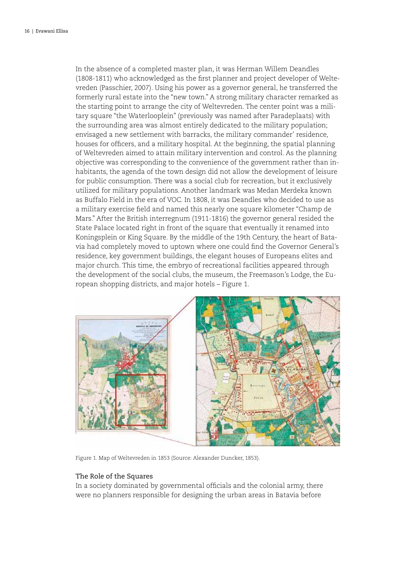In the absence of a completed master plan, it was Herman Willem Deandles (1808-1811) who acknowledged as the first planner and project developer of Weltevreden (Passchier, 2007). Using his power as a governor general, he transferred the formerly rural estate into the "new town." A strong military character remarked as the starting point to arrange the city of Weltevreden. The center point was a military square "the Waterlooplein" (previously was named after Paradeplaats) with the surrounding area was almost entirely dedicated to the military population; envisaged a new settlement with barracks, the military commander' residence, houses for officers, and a military hospital. At the beginning, the spatial planning of Weltevreden aimed to attain military intervention and control. As the planning objective was corresponding to the convenience of the government rather than inhabitants, the agenda of the town design did not allow the development of leisure for public consumption. There was a social club for recreation, but it exclusively utilized for military populations. Another landmark was Medan Merdeka known as Buffalo Field in the era of VOC. In 1808, it was Deandles who decided to use as a military exercise field and named this nearly one square kilometer "Champ de Mars." After the British interregnum (1911-1816) the governor general resided the State Palace located right in front of the square that eventually it renamed into Koningsplein or King Square. By the middle of the 19th Century, the heart of Batavia had completely moved to uptown where one could find the Governor General's residence, key government buildings, the elegant houses of Europeans elites and major church. This time, the embryo of recreational facilities appeared through the development of the social clubs, the museum, the Freemason's Lodge, the European shopping districts, and major hotels – Figure 1.



Figure 1. Map of Weltevreden in 1853 (Source: Alexander Duncker, 1853).

#### The Role of the Squares

In a society dominated by governmental officials and the colonial army, there were no planners responsible for designing the urban areas in Batavia before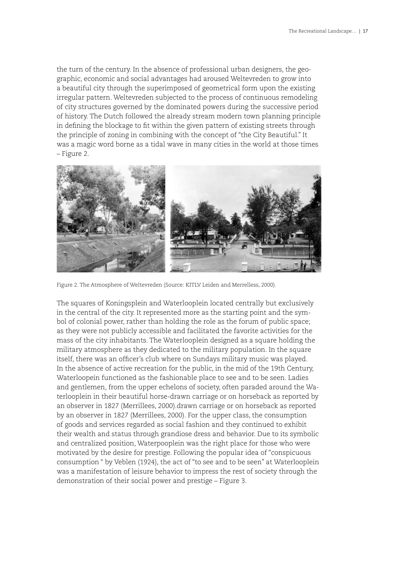the turn of the century. In the absence of professional urban designers, the geographic, economic and social advantages had aroused Weltevreden to grow into a beautiful city through the superimposed of geometrical form upon the existing irregular pattern. Weltevreden subjected to the process of continuous remodeling of city structures governed by the dominated powers during the successive period of history. The Dutch followed the already stream modern town planning principle in defining the blockage to fit within the given pattern of existing streets through the principle of zoning in combining with the concept of "the City Beautiful." It was a magic word borne as a tidal wave in many cities in the world at those times – Figure 2.



Figure 2. The Atmosphere of Weltevreden (Source: KITLV Leiden and Merrelless, 2000).

The squares of Koningsplein and Waterlooplein located centrally but exclusively in the central of the city. It represented more as the starting point and the symbol of colonial power, rather than holding the role as the forum of public space; as they were not publicly accessible and facilitated the favorite activities for the mass of the city inhabitants. The Waterlooplein designed as a square holding the military atmosphere as they dedicated to the military population. In the square itself, there was an officer's club where on Sundays military music was played. In the absence of active recreation for the public, in the mid of the 19th Century, Waterloopein functioned as the fashionable place to see and to be seen. Ladies and gentlemen, from the upper echelons of society, often paraded around the Waterlooplein in their beautiful horse-drawn carriage or on horseback as reported by an observer in 1827 (Merrillees, 2000).drawn carriage or on horseback as reported by an observer in 1827 (Merrillees, 2000). For the upper class, the consumption of goods and services regarded as social fashion and they continued to exhibit their wealth and status through grandiose dress and behavior. Due to its symbolic and centralized position, Waterpooplein was the right place for those who were motivated by the desire for prestige. Following the popular idea of "conspicuous consumption " by Veblen (1924), the act of "to see and to be seen" at Waterlooplein was a manifestation of leisure behavior to impress the rest of society through the demonstration of their social power and prestige – Figure 3.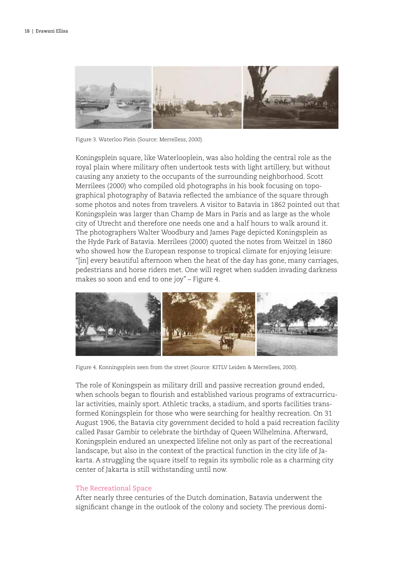

Figure 3. Waterloo Plein (Source: Merrelless, 2000).

Koningsplein square, like Waterlooplein, was also holding the central role as the royal plain where military often undertook tests with light artillery, but without causing any anxiety to the occupants of the surrounding neighborhood. Scott Merrilees (2000) who compiled old photographs in his book focusing on topographical photography of Batavia reflected the ambiance of the square through some photos and notes from travelers. A visitor to Batavia in 1862 pointed out that Koningsplein was larger than Champ de Mars in Paris and as large as the whole city of Utrecht and therefore one needs one and a half hours to walk around it. The photographers Walter Woodbury and James Page depicted Koningsplein as the Hyde Park of Batavia. Merrilees (2000) quoted the notes from Weitzel in 1860 who showed how the European response to tropical climate for enjoying leisure: "[in] every beautiful afternoon when the heat of the day has gone, many carriages, pedestrians and horse riders met. One will regret when sudden invading darkness makes so soon and end to one joy" – Figure 4.



Figure 4. Konningsplein seen from the street (Source: KITLV Leiden & Merrellees, 2000).

The role of Koningspein as military drill and passive recreation ground ended, when schools began to flourish and established various programs of extracurricular activities, mainly sport. Athletic tracks, a stadium, and sports facilities transformed Koningsplein for those who were searching for healthy recreation. On 31 August 1906, the Batavia city government decided to hold a paid recreation facility called Pasar Gambir to celebrate the birthday of Queen Wilhelmina. Afterward, Koningsplein endured an unexpected lifeline not only as part of the recreational landscape, but also in the context of the practical function in the city life of Jakarta. A struggling the square itself to regain its symbolic role as a charming city center of Jakarta is still withstanding until now.

#### The Recreational Space

After nearly three centuries of the Dutch domination, Batavia underwent the significant change in the outlook of the colony and society. The previous domi-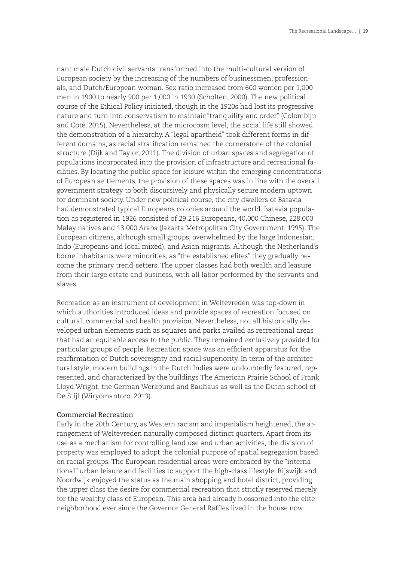nant male Dutch civil servants transformed into the multi-cultural version of European society by the increasing of the numbers of businessmen, professionals, and Dutch/European woman. Sex ratio increased from 600 women per 1,000 men in 1900 to nearly 900 per 1,000 in 1930 (Scholten, 2000). The new political course of the Ethical Policy initiated, though in the 1920s had lost its progressive nature and turn into conservatism to maintain"tranquility and order" (Colombijn and Coté, 2015). Nevertheless, at the microcosm level, the social life still showed the demonstration of a hierarchy. A "legal apartheid" took different forms in different domains, as racial stratification remained the cornerstone of the colonial structure (Dijk and Taylor, 2011). The division of urban spaces and segregation of populations incorporated into the provision of infrastructure and recreational facilities. By locating the public space for leisure within the emerging concentrations of European settlements, the provision of these spaces was in line with the overall government strategy to both discursively and physically secure modern uptown for dominant society. Under new political course, the city dwellers of Batavia had demonstrated typical Europeans colonies around the world. Batavia population as registered in 1926 consisted of 29.216 Europeans, 40.000 Chinese, 228.000 Malay natives and 13.000 Arabs (Jakarta Metropolitan City Government, 1995). The European citizens, although small groups, overwhelmed by the large Indonesian, Indo (Europeans and local mixed), and Asian migrants. Although the Netherland's borne inhabitants were minorities, as "the established elites" they gradually become the primary trend-setters. The upper classes had both wealth and leasure from their large estate and business, with all labor performed by the servants and slaves.

Recreation as an instrument of development in Weltevreden was top-down in which authorities introduced ideas and provide spaces of recreation focused on cultural, commercial and health provision. Nevertheless, not all historically developed urban elements such as squares and parks availed as recreational areas that had an equitable access to the public. They remained exclusively provided for particular groups of people. Recreation space was an efficient apparatus for the reaffirmation of Dutch sovereignty and racial superiority. In term of the architectural style, modern buildings in the Dutch Indies were undoubtedly featured, represented, and characterized by the buildings The American Prairie School of Frank Lloyd Wright, the German Werkbund and Bauhaus as well as the Dutch school of De Stijl (Wiryomantoro, 2013).

## Commercial Recreation

Early in the 20th Century, as Western racism and imperialism heightened, the arrangement of Weltevreden naturally composed distinct quarters. Apart from its use as a mechanism for controlling land use and urban activities, the division of property was employed to adopt the colonial purpose of spatial segregation based on racial groups. The European residential areas were embraced by the "international" urban leisure and facilities to support the high-class lifestyle. Rijswijk and Noordwijk enjoyed the status as the main shopping and hotel district, providing the upper class the desire for commercial recreation that strictly reserved merely for the wealthy class of European. This area had already blossomed into the elite neighborhood ever since the Governor General Raffles lived in the house now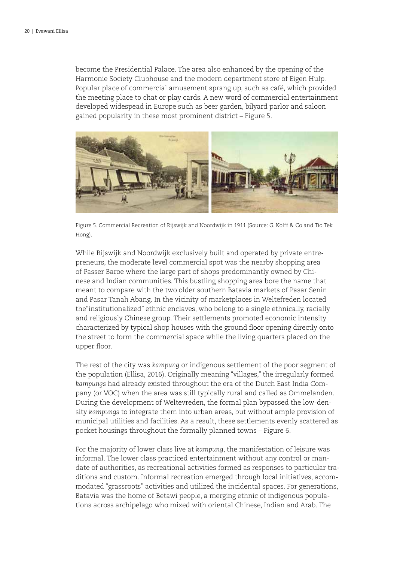become the Presidential Palace. The area also enhanced by the opening of the Harmonie Society Clubhouse and the modern department store of Eigen Hulp. Popular place of commercial amusement sprang up, such as café, which provided the meeting place to chat or play cards. A new word of commercial entertainment developed widespead in Europe such as beer garden, bilyard parlor and saloon gained popularity in these most prominent district – Figure 5.



Figure 5. Commercial Recreation of Rijswijk and Noordwijk in 1911 (Source: G. Kolff & Co and Tio Tek Hong).

While Rijswijk and Noordwijk exclusively built and operated by private entrepreneurs, the moderate level commercial spot was the nearby shopping area of Passer Baroe where the large part of shops predominantly owned by Chinese and Indian communities. This bustling shopping area bore the name that meant to compare with the two older southern Batavia markets of Pasar Senin and Pasar Tanah Abang. In the vicinity of marketplaces in Weltefreden located the"institutionalized" ethnic enclaves, who belong to a single ethnically, racially and religiously Chinese group. Their settlements promoted economic intensity characterized by typical shop houses with the ground floor opening directly onto the street to form the commercial space while the living quarters placed on the upper floor.

The rest of the city was *kampung* or indigenous settlement of the poor segment of the population (Ellisa, 2016). Originally meaning "villages," the irregularly formed *kampungs* had already existed throughout the era of the Dutch East India Company (or VOC) when the area was still typically rural and called as Ommelanden. During the development of Weltevreden, the formal plan bypassed the low-density *kampungs* to integrate them into urban areas, but without ample provision of municipal utilities and facilities. As a result, these settlements evenly scattered as pocket housings throughout the formally planned towns – Figure 6.

For the majority of lower class live at *kampung*, the manifestation of leisure was informal. The lower class practiced entertainment without any control or mandate of authorities, as recreational activities formed as responses to particular traditions and custom. Informal recreation emerged through local initiatives, accommodated "grassroots" activities and utilized the incidental spaces. For generations, Batavia was the home of Betawi people, a merging ethnic of indigenous populations across archipelago who mixed with oriental Chinese, Indian and Arab. The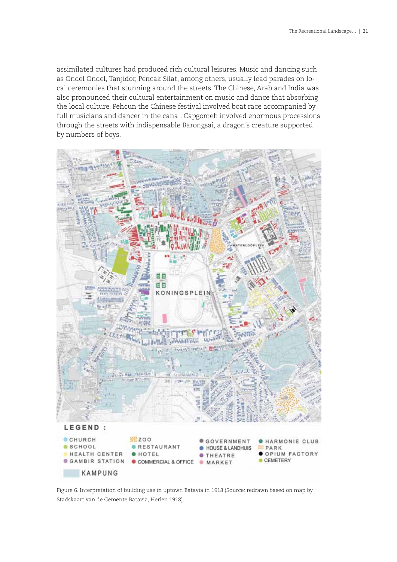assimilated cultures had produced rich cultural leisures. Music and dancing such as Ondel Ondel, Tanjidor, Pencak Silat, among others, usually lead parades on local ceremonies that stunning around the streets. The Chinese, Arab and India was also pronounced their cultural entertainment on music and dance that absorbing the local culture. Pehcun the Chinese festival involved boat race accompanied by full musicians and dancer in the canal. Capgomeh involved enormous processions through the streets with indispensable Barongsai, a dragon's creature supported by numbers of boys.



Figure 6. Interpretation of building use in uptown Batavia in 1918 (Source: redrawn based on map by Stadskaart van de Gemente Batavia, Herien 1918).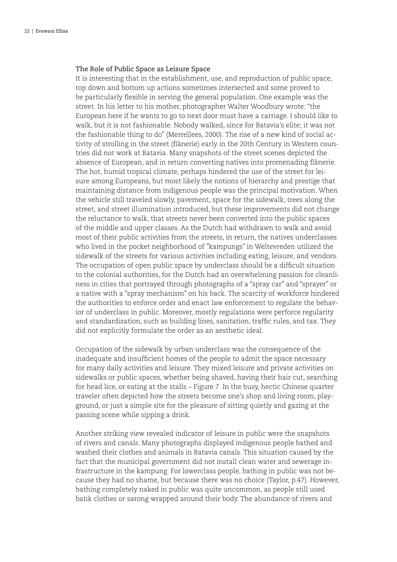# The Role of Public Space as Leisure Space

It is interesting that in the establishment, use, and reproduction of public space, top down and bottom up actions sometimes intersected and some proved to be particularly flexible in serving the general population. One example was the street. In his letter to his mother, photographer Walter Woodbury wrote: "the European here if he wants to go to next door must have a carriage. I should like to walk, but it is not fashionable. Nobody walked, since for Batavia's elite; it was not the fashionable thing to do" (Merrellees, 2000). The rise of a new kind of social activity of strolling in the street (flânerie) early in the 20th Century in Western countries did not work at Batavia. Many snapshots of the street scenes depicted the absence of European, and in return converting natives into promenading flânerie. The hot, humid tropical climate, perhaps hindered the use of the street for leisure among Europeans, but most likely the notions of hierarchy and prestige that maintaining distance from indigenous people was the principal motivation. When the vehicle still traveled slowly, pavement, space for the sidewalk, trees along the street, and street illumination introduced, but these improvements did not change the reluctance to walk, that streets never been converted into the public spaces of the middle and upper classes. As the Dutch had withdrawn to walk and avoid most of their public activities from the streets, in return, the natives underclasses who lived in the pocket neighborhood of "kampungs" in Weltevreden utilized the sidewalk of the streets for various activities including eating, leisure, and vendors. The occupation of open public space by underclass should be a difficult situation to the colonial authorities, for the Dutch had an overwhelming passion for cleanliness in cities that portrayed through photographs of a "spray car" and "sprayer" or a native with a "spray mechanism" on his back. The scarcity of workforce hindered the authorities to enforce order and enact law enforcement to regulate the behavior of underclass in public. Moreover, mostly regulations were perforce regularity and standardization, such as building lines, sanitation, traffic rules, and tax. They did not explicitly formulate the order as an aesthetic ideal.

Occupation of the sidewalk by urban underclass was the consequence of the inadequate and insufficient homes of the people to admit the space necessary for many daily activities and leisure. They mixed leisure and private activities on sidewalks or public spaces, whether being shaved, having their hair cut, searching for head lice, or eating at the stalls – Figure 7. In the busy, hectic Chinese quarter traveler often depicted how the streets become one's shop and living room, playground, or just a simple site for the pleasure of sitting quietly and gazing at the passing scene while sipping a drink.

Another striking view revealed indicator of leisure in public were the snapshots of rivers and canals. Many photographs displayed indigenous people bathed and washed their clothes and animals in Batavia canals. This situation caused by the fact that the municipal government did not install clean water and sewerage infrastructure in the kampung. For lowerclass people, bathing in public was not because they had no shame, but because there was no choice (Taylor, p.47). However, bathing completely naked in public was quite uncommon, as people still used batik clothes or sarong wrapped around their body. The abundance of rivers and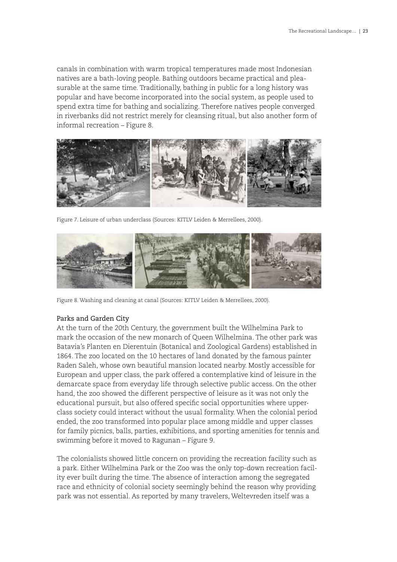canals in combination with warm tropical temperatures made most Indonesian natives are a bath-loving people. Bathing outdoors became practical and pleasurable at the same time. Traditionally, bathing in public for a long history was popular and have become incorporated into the social system, as people used to spend extra time for bathing and socializing. Therefore natives people converged in riverbanks did not restrict merely for cleansing ritual, but also another form of informal recreation – Figure 8.



Figure 7. Leisure of urban underclass (Sources: KITLV Leiden & Merrellees, 2000).



Figure 8. Washing and cleaning at canal (Sources: KITLV Leiden & Merrellees, 2000).

# Parks and Garden City

At the turn of the 20th Century, the government built the Wilhelmina Park to mark the occasion of the new monarch of Queen Wilhelmina. The other park was Batavia's Planten en Dierentuin (Botanical and Zoological Gardens) established in 1864. The zoo located on the 10 hectares of land donated by the famous painter Raden Saleh, whose own beautiful mansion located nearby. Mostly accessible for European and upper class, the park offered a contemplative kind of leisure in the demarcate space from everyday life through selective public access. On the other hand, the zoo showed the different perspective of leisure as it was not only the educational pursuit, but also offered specific social opportunities where upperclass society could interact without the usual formality. When the colonial period ended, the zoo transformed into popular place among middle and upper classes for family picnics, balls, parties, exhibitions, and sporting amenities for tennis and swimming before it moved to Ragunan – Figure 9.

The colonialists showed little concern on providing the recreation facility such as a park. Either Wilhelmina Park or the Zoo was the only top-down recreation facility ever built during the time. The absence of interaction among the segregated race and ethnicity of colonial society seemingly behind the reason why providing park was not essential. As reported by many travelers, Weltevreden itself was a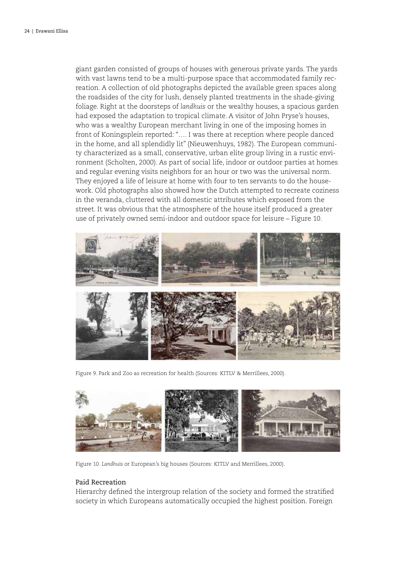giant garden consisted of groups of houses with generous private yards. The yards with vast lawns tend to be a multi-purpose space that accommodated family recreation. A collection of old photographs depicted the available green spaces along the roadsides of the city for lush, densely planted treatments in the shade-giving foliage. Right at the doorsteps of *landhuis* or the wealthy houses, a spacious garden had exposed the adaptation to tropical climate. A visitor of John Pryse's houses, who was a wealthy European merchant living in one of the imposing homes in front of Koningsplein reported: "…. I was there at reception where people danced in the home, and all splendidly lit" (Nieuwenhuys, 1982). The European community characterized as a small, conservative, urban elite group living in a rustic environment (Scholten, 2000). As part of social life, indoor or outdoor parties at homes and regular evening visits neighbors for an hour or two was the universal norm. They enjoyed a life of leisure at home with four to ten servants to do the housework. Old photographs also showed how the Dutch attempted to recreate coziness in the veranda, cluttered with all domestic attributes which exposed from the street. It was obvious that the atmosphere of the house itself produced a greater use of privately owned semi-indoor and outdoor space for leisure – Figure 10.



Figure 9. Park and Zoo as recreation for health (Sources: KITLV & Merrillees, 2000).



Figure 10. *Landhuis* or European's big houses (Sources: KITLV and Merrillees, 2000).

# Paid Recreation

Hierarchy defined the intergroup relation of the society and formed the stratified society in which Europeans automatically occupied the highest position. Foreign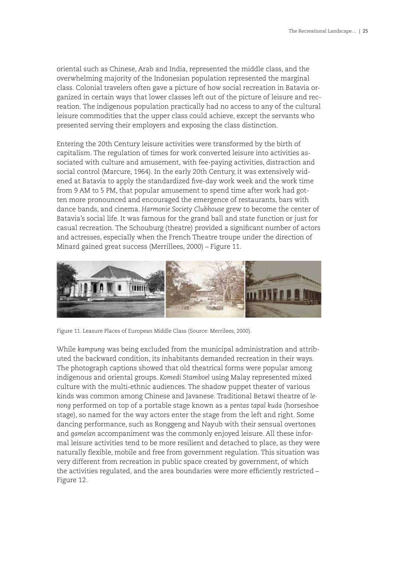oriental such as Chinese, Arab and India, represented the middle class, and the overwhelming majority of the Indonesian population represented the marginal class. Colonial travelers often gave a picture of how social recreation in Batavia organized in certain ways that lower classes left out of the picture of leisure and recreation. The indigenous population practically had no access to any of the cultural leisure commodities that the upper class could achieve, except the servants who presented serving their employers and exposing the class distinction.

Entering the 20th Century leisure activities were transformed by the birth of capitalism. The regulation of times for work converted leisure into activities associated with culture and amusement, with fee-paying activities, distraction and social control (Marcure, 1964). In the early 20th Century, it was extensively widened at Batavia to apply the standardized five-day work week and the work time from 9 AM to 5 PM, that popular amusement to spend time after work had gotten more pronounced and encouraged the emergence of restaurants, bars with dance bands, and cinema. *Harmonie Society Clubhouse* grew to become the center of Batavia's social life. It was famous for the grand ball and state function or just for casual recreation. The Schouburg (theatre) provided a significant number of actors and actresses, especially when the French Theatre troupe under the direction of Minard gained great success (Merrillees, 2000) – Figure 11.



Figure 11. Leasure Places of European Middle Class (Source: Merrilees, 2000).

While *kampung* was being excluded from the municipal administration and attributed the backward condition, its inhabitants demanded recreation in their ways. The photograph captions showed that old theatrical forms were popular among indigenous and oriental groups. *Komedi Stamboel* using Malay represented mixed culture with the multi-ethnic audiences. The shadow puppet theater of various kinds was common among Chinese and Javanese. Traditional Betawi theatre of *lenong* performed on top of a portable stage known as a *pentas tapal kuda* (horseshoe stage), so named for the way actors enter the stage from the left and right. Some dancing performance, such as Ronggeng and Nayub with their sensual overtones and *gamelan* accompaniment was the commonly enjoyed leisure. All these informal leisure activities tend to be more resilient and detached to place, as they were naturally flexible, mobile and free from government regulation. This situation was very different from recreation in public space created by government, of which the activities regulated, and the area boundaries were more efficiently restricted – Figure 12.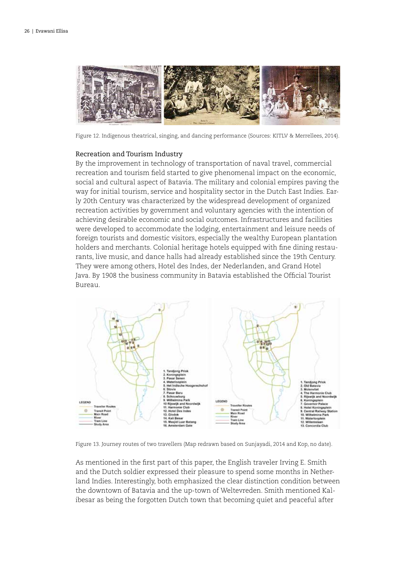

Figure 12. Indigenous theatrical, singing, and dancing performance (Sources: KITLV & Merrellees, 2014).

#### Recreation and Tourism Industry

By the improvement in technology of transportation of naval travel, commercial recreation and tourism field started to give phenomenal impact on the economic, social and cultural aspect of Batavia. The military and colonial empires paving the way for initial tourism, service and hospitality sector in the Dutch East Indies. Early 20th Century was characterized by the widespread development of organized recreation activities by government and voluntary agencies with the intention of achieving desirable economic and social outcomes. Infrastructures and facilities were developed to accommodate the lodging, entertainment and leisure needs of foreign tourists and domestic visitors, especially the wealthy European plantation holders and merchants. Colonial heritage hotels equipped with fine dining restaurants, live music, and dance halls had already established since the 19th Century. They were among others, Hotel des Indes, der Nederlanden, and Grand Hotel Java. By 1908 the business community in Batavia established the Official Tourist Bureau.



Figure 13. Journey routes of two travellers (Map redrawn based on Sunjayadi, 2014 and Kop, no date).

As mentioned in the first part of this paper, the English traveler Irving E. Smith and the Dutch soldier expressed their pleasure to spend some months in Netherland Indies. Interestingly, both emphasized the clear distinction condition between the downtown of Batavia and the up-town of Weltevreden. Smith mentioned Kalibesar as being the forgotten Dutch town that becoming quiet and peaceful after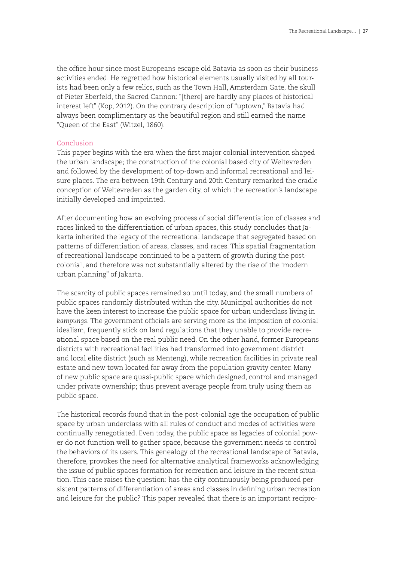the office hour since most Europeans escape old Batavia as soon as their business activities ended. He regretted how historical elements usually visited by all tourists had been only a few relics, such as the Town Hall, Amsterdam Gate, the skull of Pieter Eberfeld, the Sacred Cannon: "[there] are hardly any places of historical interest left" (Kop, 2012). On the contrary description of "uptown," Batavia had always been complimentary as the beautiful region and still earned the name "Queen of the East" (Witzel, 1860).

#### Conclusion

This paper begins with the era when the first major colonial intervention shaped the urban landscape; the construction of the colonial based city of Weltevreden and followed by the development of top-down and informal recreational and leisure places. The era between 19th Century and 20th Century remarked the cradle conception of Weltevreden as the garden city, of which the recreation's landscape initially developed and imprinted.

After documenting how an evolving process of social differentiation of classes and races linked to the differentiation of urban spaces, this study concludes that Jakarta inherited the legacy of the recreational landscape that segregated based on patterns of differentiation of areas, classes, and races. This spatial fragmentation of recreational landscape continued to be a pattern of growth during the postcolonial, and therefore was not substantially altered by the rise of the 'modern urban planning" of Jakarta.

The scarcity of public spaces remained so until today, and the small numbers of public spaces randomly distributed within the city. Municipal authorities do not have the keen interest to increase the public space for urban underclass living in *kampungs*. The government officials are serving more as the imposition of colonial idealism, frequently stick on land regulations that they unable to provide recreational space based on the real public need. On the other hand, former Europeans districts with recreational facilities had transformed into government district and local elite district (such as Menteng), while recreation facilities in private real estate and new town located far away from the population gravity center. Many of new public space are quasi-public space which designed, control and managed under private ownership; thus prevent average people from truly using them as public space.

The historical records found that in the post-colonial age the occupation of public space by urban underclass with all rules of conduct and modes of activities were continually renegotiated. Even today, the public space as legacies of colonial power do not function well to gather space, because the government needs to control the behaviors of its users. This genealogy of the recreational landscape of Batavia, therefore, provokes the need for alternative analytical frameworks acknowledging the issue of public spaces formation for recreation and leisure in the recent situation. This case raises the question: has the city continuously being produced persistent patterns of differentiation of areas and classes in defining urban recreation and leisure for the public? This paper revealed that there is an important recipro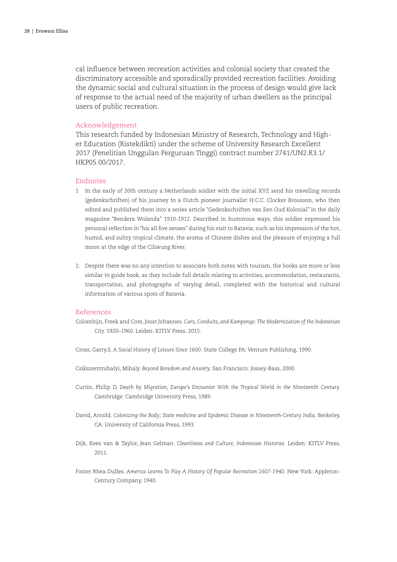cal influence between recreation activities and colonial society that created the discriminatory accessible and sporadically provided recreation facilities. Avoiding the dynamic social and cultural situation in the process of design would give lack of response to the actual need of the majority of urban dwellers as the principal users of public recreation.

#### Acknowledgement

This research funded by Indonesian Ministry of Research, Technology and Higher Education (Ristekdikti) under the scheme of University Research Excellent 2017 (Penelitian Unggulan Perguruan Tinggi) contract number 2741/UN2.R3.1/ HKP05.00/2017.

#### Endnotes

- 1 In the early of 20th century a Netherlands soldier with the initial XYZ send his travelling records (gedenkschriften) of his journey to a Dutch pioneer journalist H.C.C. Clocker Brousson, who then edited and published them into a series article "Gedenkschriften van Een Oud Kolonial" in the daily magazine "Bendera Wolanda" 1910-1912. Described in humorous ways, this soldier expressed his personal reflection in "his all five senses" during his visit to Batavia; such as his impression of the hot, humid, and sultry tropical climate, the aroma of Chinese dishes and the pleasure of enjoying a full moon at the edge of the Ciliwung River.
- 2. Despite there was no any intention to associate both notes with tourism, the books are more or less similar to guide book, as they include full details relating to activities, accommodation, restaurants, transportation, and photographs of varying detail, completed with the historical and cultural information of various spots of Batavia.

#### References

- Colombijn, Freek and Cote, Joost Johannes. *Cars, Conduits, and Kampongs: The Modernization of the Indonesian City.* 1920–1960. Leiden: KITLV Press. 2015.
- Cross, Garry.S. *A Social History of Leisure Since 1600.* State College PA: Venture Publishing, 1990.
- Csikszentmihalyi, Mihaly. *Beyond Boredom and Anxiety.* San Francisco: Jossey-Bass, 2000.
- Curtin, Philip D. *Death by Migration; Europe's Encounter With the Tropical World in the Nineteenth Century.* Cambridge: Cambridge University Press, 1989.
- David, Arnold. Colonizing the Body; State medicine and Epidemic Disease in Nineteenth-Century India. Berkeley, CA: University of California Press, 1993.
- Dijk, Kees van & Taylor, Jean Gelman. *Cleanliness and Culture, Indonesian Histories.* Leiden: KITLV Press, 2011.
- Foster Rhea Dulles. *America Learns To Play A History Of Popular Recreation 1607-1940.* New York: Appleton-Century Company, 1940.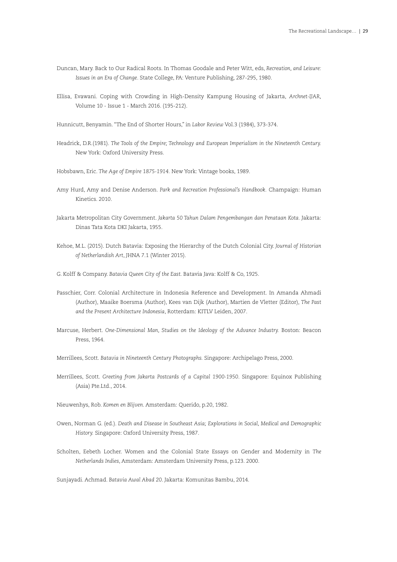- Duncan, Mary. Back to Our Radical Roots. In Thomas Goodale and Peter Witt, eds, *Recreation, and Leisure: Issues in an Era of Change*. State College, PA: Venture Publishing, 287-295, 1980.
- Ellisa, Evawani. Coping with Crowding in High-Density Kampung Housing of Jakarta, *Archnet-IJAR,* Volume 10 - Issue 1 - March 2016. (195-212).
- Hunnicutt, Benyamin. "The End of Shorter Hours," in *Labor Review* Vol.3 (1984), 373-374.
- Headrick, D.R.(1981). *The Tools of the Empire; Technology and European Imperialism in the Nineteenth Century.* New York: Oxford University Press.
- Hobsbawn, Eric. *The Age of Empire 1875-1914.* New York: Vintage books, 1989.
- Amy Hurd, Amy and Denise Anderson. *Park and Recreation Professional's Handbook.* Champaign: Human Kinetics. 2010.
- Jakarta Metropolitan City Government. *Jakarta 50 Tahun Dalam Pengembangan dan Penataan Kota.* Jakarta: Dinas Tata Kota DKI Jakarta, 1955.
- Kehoe, M.L. (2015). Dutch Batavia: Exposing the Hierarchy of the Dutch Colonial City. *Journal of Historian of Netherlandish Art*, JHNA 7.1 (Winter 2015).
- G. Kolff & Company. *Batavia Queen City of the East.* Batavia Java: Kolff & Co, 1925.
- Passchier, Corr. Colonial Architecture in Indonesia Reference and Development. In Amanda Ahmadi (Author), Maaike Boersma (Author), Kees van Dijk (Author), Martien de Vletter (Editor), *The Past and the Present Architecture Indonesia*, Rotterdam: KITLV Leiden, 2007.
- Marcuse, Herbert. *One-Dimensional Man, Studies on the Ideology of the Advance Industry.* Boston: Beacon Press, 1964.
- Merrillees, Scott. *Batavia in Nineteenth Century Photographs.* Singapore: Archipelago Press, 2000.
- Merrillees, Scott. *Greeting from Jakarta Postcards of a Capital 1900-1950*. Singapore: Equinox Publishing (Asia) Pte.Ltd., 2014.
- Nieuwenhys, Rob. *Komen en Blijven*. Amsterdam: Querido, p.20, 1982.
- Owen, Norman G. (ed.). *Death and Disease in Southeast Asia; Explorations in Social, Medical and Demographic History.* Singapore: Oxford University Press, 1987.
- Scholten, Eebeth Locher. Women and the Colonial State Essays on Gender and Modernity in *The Netherlands Indies*, Amsterdam: Amsterdam University Press, p.123. 2000.

Sunjayadi. Achmad. *Batavia Awal Abad 20*. Jakarta: Komunitas Bambu, 2014.